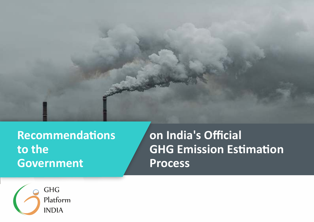

**Recommendations to the Government** 

**on India's Official GHG Emission Estimation Process**

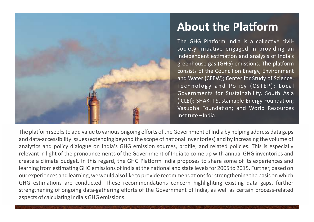

# **About the Platform**

The GHG Platform India is a collective civilsociety initiative engaged in providing an independent estimation and analysis of India's greenhouse gas (GHG) emissions. The platform consists of the Council on Energy, Environment and Water (CEEW); Center for Study of Science, Technology and Policy (CSTEP); Local Governments for Sustainability, South Asia (ICLEI); SHAKTI Sustainable Energy Foundation; Vasudha Foundation; and World Resources Institute – India.

The platform seeks to add value to various ongoing efforts of the Government of India by helping address data gaps and data-accessibility issues (extending beyond the scope of national inventories) and by increasing the volume of analytics and policy dialogue on India's GHG emission sources, profile, and related policies. This is especially relevant in light of the pronouncements of the Government of India to come up with annual GHG inventories and create a climate budget. In this regard, the GHG Platform India proposes to share some of its experiences and learning from estimating GHG emissions of India at the national and state levels for 2005 to 2015. Further, based on our experiences and learning, we would also like to provide recommendations for strengthening the basis on which GHG estimations are conducted. These recommendations concern highlighting existing data gaps, further strengthening of ongoing data-gathering efforts of the Government of India, as well as certain process-related aspects of calculating India's GHG emissions.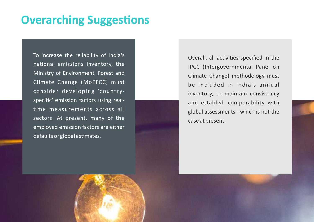# **Overarching Suggestions**

To increase the reliability of India's national emissions inventory, the Ministry of Environment, Forest and Climate Change (MoEFCC) must consider developing 'countryspecific' emission factors using real time measurements across all sectors. At present, many of the employed emission factors are either defaults or global estimates.

Overall, all activities specified in the IPCC (Intergovernmental Panel on Climate Change) methodology must be included in India's annual inventory, to maintain consistency and establish comparability with global assessments - which is not the case at present.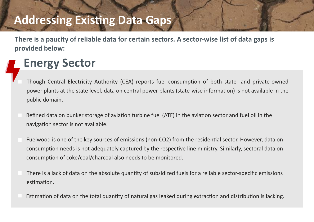## **Addressing Existing Data Gaps**

**There is a paucity of reliable data for certain sectors. A sector-wise list of data gaps is provided below:**

### **Energy Sector**

- Though Central Electricity Authority (CEA) reports fuel consumption of both state- and private-owned power plants at the state level, data on central power plants (state-wise information) is not available in the public domain.
- Refined data on bunker storage of aviation turbine fuel (ATF) in the aviation sector and fuel oil in the navigation sector is not available.
- Fuelwood is one of the key sources of emissions (non-CO2) from the residential sector. However, data on consumption needs is not adequately captured by the respective line ministry. Similarly, sectoral data on consumption of coke/coal/charcoal also needs to be monitored.
- There is a lack of data on the absolute quantity of subsidized fuels for a reliable sector-specific emissions estimation.
- Estimation of data on the total quantity of natural gas leaked during extraction and distribution is lacking.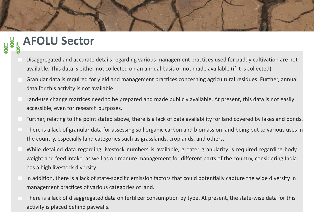### **AFOLU Sector**

- Disaggregated and accurate details regarding various management practices used for paddy cultivation are not available. This data is either not collected on an annual basis or not made available (if it is collected).
- Granular data is required for yield and management pracces concerning agricultural residues. Further, annual data for this activity is not available.
- Land-use change matrices need to be prepared and made publicly available. At present, this data is not easily accessible, even for research purposes.
- Further, relating to the point stated above, there is a lack of data availability for land covered by lakes and ponds.
- There is a lack of granular data for assessing soil organic carbon and biomass on land being put to various uses in the country, especially land categories such as grasslands, croplands, and others.
- While detailed data regarding livestock numbers is available, greater granularity is required regarding body weight and feed intake, as well as on manure management for different parts of the country, considering India has a high livestock diversity
- In addition, there is a lack of state-specific emission factors that could potentially capture the wide diversity in management practices of various categories of land.
- There is a lack of disaggregated data on fertilizer consumption by type. At present, the state-wise data for this activity is placed behind paywalls.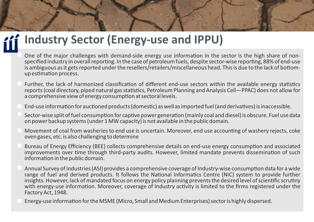# **Industry Sector (Energy-use and IPPU)**

One of the major challenges with demand-side energy use information in the sector is the high share of nonspecified industry in overall reporting. In the case of petroleum fuels, despite sector-wise reporting, 88% of end-use is ambiguous as it gets reported under the resellers/retailers/miscellaneous head. This is due to the lack of bottomup estimation process.

- Further, the lack of harmonized classification of different end-use sectors within the available energy statistics reports (coal directory, piped natural gas statistics, Petroleum Planning and Analysis Cell—PPAC) does not allow for a comprehensive view of energy consumption at sectoral levels.
- End-use information for auctioned products (domestic) as well as imported fuel (and derivatives) is inaccessible.
- Sector-wise split of fuel consumption for captive power generation (mainly coal and diesel) is obscure. Fuel use data on power backup systems (under 1 MW capacity) is not available in the public domain.
- Movement of coal from washeries to end use is uncertain. Moreover, end use accounting of washery rejects, coke oven gases, etc. is also challenging to determine
- Bureau of Energy Efficiency (BEE) collects comprehensive details on end-use energy consumption and associated improvements over time through third-party audits. However, limited mandate prevents dissemination of such information in the public domain.
- Annual Survey of Industries (ASI) provides a comprehensive coverage of Industry-wise consumption data for a wide range of fuel and derived products. It follows the National Informatics Centre (NIC) system to provide further insights. However, lack of mandated focus on energy policy planning prevents the desired level of scientific scrutiny with energy-use information. Moreover, coverage of Industry activity is limited to the firms registered under the Factory Act, 1948.
- Energy-use information for the MSME (Micro, Small and Medium Enterprises) sector is highly dispersed.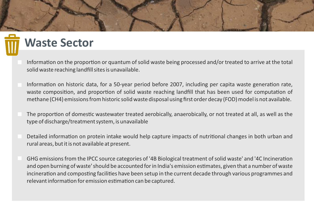

# **Waste Sector**

Information on the proportion or quantum of solid waste being processed and/or treated to arrive at the total solid waste reaching landfill sites is unavailable.

- Information on historic data, for a 50-year period before 2007, including per capita waste generation rate, waste composition, and proportion of solid waste reaching landfill that has been used for computation of methane (CH4) emissions from historic solid waste disposal using first order decay (FOD) model is not available.
- The proportion of domestic wastewater treated aerobically, anaerobically, or not treated at all, as well as the type of discharge/treatment system, is unavailable
- Detailed information on protein intake would help capture impacts of nutritional changes in both urban and rural areas, but it is not available at present.
- GHG emissions from the IPCC source categories of '4B Biological treatment of solid waste' and '4C Incineration and open burning of waste' should be accounted for in India's emission estimates, given that a number of waste incineration and composting facilities have been setup in the current decade through various programmes and relevant information for emission estimation can be captured.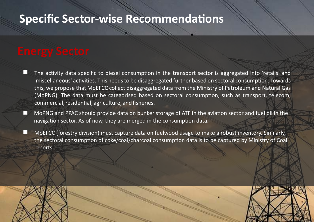# **Specific Sector-wise Recommendations**

- г The activity data specific to diesel consumption in the transport sector is aggregated into 'retails' and 'miscellaneous' activities. This needs to be disaggregated further based on sectoral consumption. Towards this, we propose that MoEFCC collect disaggregated data from the Ministry of Petroleum and Natural Gas (MoPNG). The data must be categorised based on sectoral consumption, such as transport, telecom, commercial, residential, agriculture, and fisheries.
- MoPNG and PPAC should provide data on bunker storage of ATF in the aviation sector and fuel oil in the navigation sector. As of now, they are merged in the consumption data.
- MoEFCC (forestry division) must capture data on fuelwood usage to make a robust inventory. Similarly, the sectoral consumption of coke/coal/charcoal consumption data is to be captured by Ministry of Coal reports.



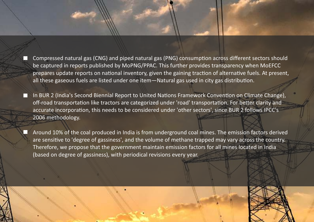Compressed natural gas (CNG) and piped natural gas (PNG) consumption across different sectors should be captured in reports published by MoPNG/PPAC. This further provides transparency when MoEFCC prepares update reports on national inventory, given the gaining traction of alternative fuels. At present, all these gaseous fuels are listed under one item—Natural gas used in city gas distribution.

In BUR 2 (India's Second Biennial Report to United Nations Framework Convention on Climate Change), off-road transportation like tractors are categorized under 'road' transportation. For better clarity and accurate incorporation, this needs to be considered under 'other sectors', since BUR 2 follows IPCC's 2006 methodology.

Around 10% of the coal produced in India is from underground coal mines. The emission factors derived are sensitive to 'degree of gassiness', and the volume of methane trapped may vary across the country. Therefore, we propose that the government maintain emission factors for all mines located in India (based on degree of gassiness), with periodical revisions every year.

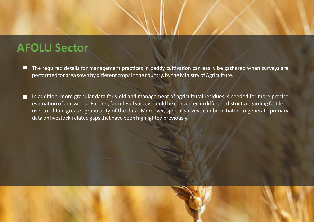### **AFOLU Sector**

- E The required details for management practices in paddy cultivation can easily be gathered when surveys are performed for area sown by different crops in the country, by the Ministry of Agriculture.
- г In addition, more granular data for yield and management of agricultural residues is needed for more precise estimation of emissions. Further, farm-level surveys could be conducted in different districts regarding fertilizer use, to obtain greater granularity of the data. Moreover, special surveys can be initiated to generate primary data on livestock-related gaps that have been highlighted previously.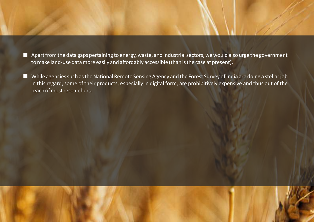- $\Box$ Apart from the data gaps pertaining to energy, waste, and industrial sectors, we would also urge the government to make land-use data more easily and affordably accessible (than is the case at present).
- While agencies such as the National Remote Sensing Agency and the Forest Survey of India are doing a stellar job  $\Box$ in this regard, some of their products, especially in digital form, are prohibitively expensive and thus out of the reach of most researchers.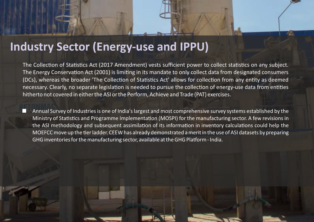# **Industry Sector (Energy-use and IPPU)**

The Collection of Statistics Act (2017 Amendment) vests sufficient power to collect statistics on any subject. The Energy Conservation Act (2001) is limiting in its mandate to only collect data from designated consumers (DCs), whereas the broader 'The Collection of Statistics Act' allows for collection from any entity as deemed necessary. Clearly, no separate legislation is needed to pursue the collection of energy-use data from entities hitherto not covered in either the ASI or the Perform, Achieve and Trade (PAT) exercises.

Annual Survey of Industries is one of India's largest and most comprehensive survey systems established by the Ministry of Statistics and Programme Implementation (MOSPI) for the manufacturing sector. A few revisions in the ASI methodology and subsequent assimilation of its information in inventory calculations could help the MOEFCC move up the tier ladder. CEEW has already demonstrated a merit in the use of ASI datasets by preparing GHG inventories for the manufacturing sector, available at the GHG Platform - India.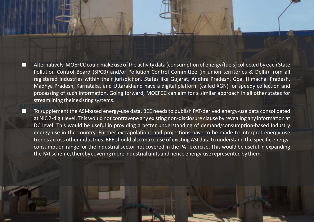Alternatively, MOEFCC could make use of the activity data (consumption of energy/fuels) collected by each State Pollution Control Board (SPCB) and/or Pollution Control Committee (in union territories & Delhi) from all registered industries within their jurisdiction. States like Gujarat, Andhra Pradesh, Goa, Himachal Pradesh, Madhya Pradesh, Karnataka, and Uttarakhand have a digital platform (called XGN) for speedy collection and processing of such information. Going forward, MOEFCC can aim for a similar approach in all other states for streamlining their existing systems.

П

г

To supplement the ASI-based energy-use data, BEE needs to publish PAT-derived energy-use data consolidated at NIC 2-digit level. This would not contravene any existing non-disclosure clause by revealing any information at DC level. This would be useful in providing a better understanding of demand/consumption-based Industry energy use in the country. Further extrapolations and projections have to be made to interpret energy-use trends across other industries. BEE should also make use of existing ASI data to understand the specific energyconsumption range for the industrial sector not covered in the PAT exercise. This would be useful in expanding the PAT scheme, thereby covering more industrial units and hence energy-use represented by them.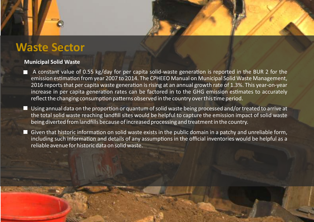### **Waste Sector**

#### **Municipal Solid Waste**

- A constant value of 0.55 kg/day for per capita solid-waste generation is reported in the BUR 2 for the г emission estimation from year 2007 to 2014. The CPHEEO Manual on Municipal Solid Waste Management, 2016 reports that per capita waste generation is rising at an annual growth rate of 1.3%. This year-on-year increase in per capita generation rates can be factored in to the GHG emission estimates to accurately reflect the changing consumption patterns observed in the country over this time period.
- Using annual data on the proportion or quantum of solid waste being processed and/or treated to arrive at the total solid waste reaching landfill sites would be helpful to capture the emission impact of solid waste being diverted from landfills because of increased processing and treatment in the country.
- Given that historic information on solid waste exists in the public domain in a patchy and unreliable form, including such information and details of any assumptions in the official inventories would be helpful as a reliable avenue for historic data on solid waste.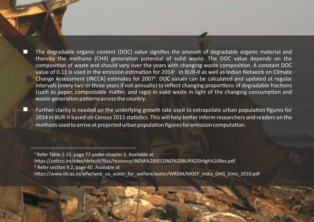- Г The degradable organic content (DOC) value signifies the amount of degradable organic material and thereby the methane (CH4) generation potential of solid waste. The DOC value depends on the composition of waste and should vary over the years with changing waste composition. A constant DOC value of 0.11 is used in the emission estimation for 2014<sup>1</sup> in BUR-II as well as Indian Network on Climate Change Assessment (INCCA) estimates for 2007<sup>2</sup>. DOC values can be calculated and updated at regular intervals (every two or three years if not annually) to reflect changing proportions of degradable fractions (such as paper, compostable matter, and rags) in solid waste in light of the changing consumption and waste-generation patterns across the country.
	- Further clarity is needed on the underlying growth rate used to extrapolate urban population figures for 2014 in BUR-II based on Census 2011 statistics. This will help better inform researchers and readers on the methods used to arrive at projected urban population figures for emission computation.

 $2$  Refer section 9.2, page 40. Available at https://www.iitr.ac.in/wfw/web\_ua\_water\_for\_welfare/water/WRDM/MOEF\_India\_GHG\_Emis\_2010.pdf  $1$  Refer Table 2.15, page 77 under chapter 2. Available at hps://unfccc.int/sites/default/files/resource/INDIA%20SECOND%20BUR%20High%20Res.pdf

Г

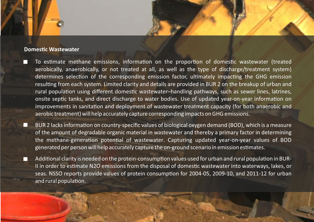#### **Domestic Wastewater**

- г To estimate methane emissions, information on the proportion of domestic wastewater (treated aerobically, anaerobically, or not treated at all, as well as the type of discharge/treatment system) determines selection of the corresponding emission factor, ultimately impacting the GHG emission resulting from each system. Limited clarity and details are provided in BUR 2 on the breakup of urban and rural population using different domestic wastewater–handling pathways, such as sewer lines, latrines, onsite septic tanks, and direct discharge to water bodies. Use of updated year-on-year information on improvements in sanitation and deployment of wastewater treatment capacity (for both anaerobic and aerobic treatment) will help accurately capture corresponding impacts on GHG emissions.
- г BUR 2 lacks information on country-specific values of biological oxygen demand (BOD), which is a measure of the amount of degradable organic material in wastewater and thereby a primary factor in determining the methane-generation potential of wastewater. Capturing updated year-on-year values of BOD generated per person will help accurately capture the on-ground scenario in emission estimates.
- Additional clarity is needed on the protein-consumption values used for urban and rural population in BURг II in order to estimate N2O emissions from the disposal of domestic wastewater into waterways, lakes, or seas. NSSO reports provide values of protein consumption for 2004-05, 2009-10, and 2011-12 for urban and rural population.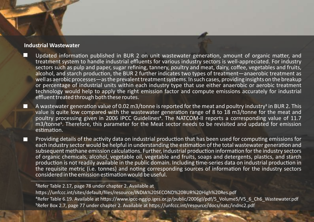#### **Industrial Wastewater**

- г Updated information published in BUR 2 on unit wastewater generation, amount of organic matter, and treatment system to handle industrial effluents for various industry sectors is well-appreciated. For industry sectors such as pulp and paper, sugar refining, tannery, poultry and meat, dairy, coffee, vegetables and fruits, alcohol, and starch production, the BUR 2 further indicates two types of treatment—anaerobic treatment as well as aerobic processes—as the prevalent treatment systems. In such cases, providing insights on the breakup or percentage of industrial units within each industry type that use either anaerobic or aerobic treatment technology would help to apply the right emission factor and compute emissions accurately for industrial effluent treated through both these routes.
- г A wastewater generation value of 0.02 m3/tonne is reported for the meat and poultry industry<sup>3</sup> in BUR 2. This value is quite low compared with the wastewater generation range of 8 to 18 m3/tonne for the meat and poultry processing given in 2006 IPCC Guidelines<sup>4</sup>. The NATCOM-II reports a corresponding value of 11.7 m3/tonne<sup>5</sup>. Therefore, this parameter for the Meat sector needs to be revisited and updated for emission estimation.
- Providing details of the activity data on industrial production that has been used for computing emissions for г each industry sector would be helpful in understanding the estimation of the total wastewater generation and subsequent methane emission calculations. Further, industrial production information for the industry sectors of organic chemicals, alcohol, vegetable oil, vegetable and fruits, soaps and detergents, plastics, and starch production is not readily available in the public domain. Including time-series data on industrial production in the requisite metric (i.e. tonnes) and noting corresponding sources of information for the industry sectors  $\overline{\text{considered}}$  in the emission estimation would be useful.

<sup>3</sup>Refer Table 2.17, page 78 under chapter 2. Available at

https://unfccc.int/sites/default/files/resource/INDIA%20SECOND%20BUR%20High%20Res.pdf

<sup>4</sup>Refer Table 6.19. Available at https://www.ipcc-nggip.iges.or.jp/public/2006gl/pdf/5\_Volume5/V5\_6\_Ch6\_Wastewater.pdf <sup>5</sup>Refer Box 2.7, page 77 under chapter 2. Available at https://unfccc.int/resource/docs/natc/indnc2.pdf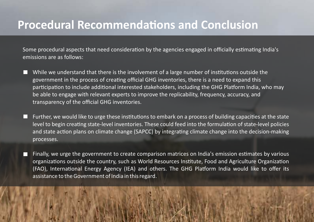# **Procedural Recommendations and Conclusion**

Some procedural aspects that need consideration by the agencies engaged in officially estimating India's emissions are as follows:

- г While we understand that there is the involvement of a large number of institutions outside the government in the process of creating official GHG inventories, there is a need to expand this participation to include additional interested stakeholders, including the GHG Platform India, who may be able to engage with relevant experts to improve the replicability, frequency, accuracy, and transparency of the official GHG inventories.
- E Further, we would like to urge these institutions to embark on a process of building capacities at the state level to begin creating state-level inventories. These could feed into the formulation of state-level policies and state action plans on climate change (SAPCC) by integrating climate change into the decision-making processes.
- г Finally, we urge the government to create comparison matrices on India's emission estimates by various organizations outside the country, such as World Resources Institute, Food and Agriculture Organization (FAO), International Energy Agency (IEA) and others. The GHG Platform India would like to offer its assistance to the Government of India in this regard.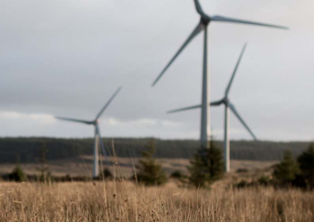